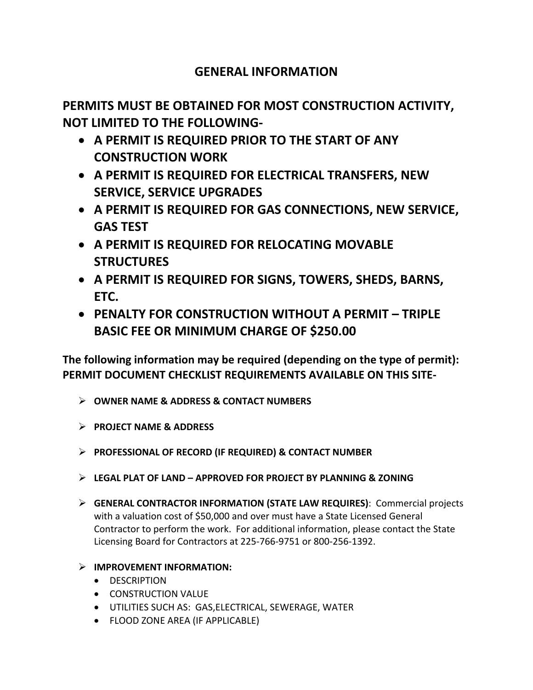## **GENERAL INFORMATION**

**PERMITS MUST BE OBTAINED FOR MOST CONSTRUCTION ACTIVITY, NOT LIMITED TO THE FOLLOWING‐** 

- **A PERMIT IS REQUIRED PRIOR TO THE START OF ANY CONSTRUCTION WORK**
- **A PERMIT IS REQUIRED FOR ELECTRICAL TRANSFERS, NEW SERVICE, SERVICE UPGRADES**
- **A PERMIT IS REQUIRED FOR GAS CONNECTIONS, NEW SERVICE, GAS TEST**
- **A PERMIT IS REQUIRED FOR RELOCATING MOVABLE STRUCTURES**
- **A PERMIT IS REQUIRED FOR SIGNS, TOWERS, SHEDS, BARNS, ETC.**
- **PENALTY FOR CONSTRUCTION WITHOUT A PERMIT TRIPLE BASIC FEE OR MINIMUM CHARGE OF \$250.00**

**The following information may be required (depending on the type of permit): PERMIT DOCUMENT CHECKLIST REQUIREMENTS AVAILABLE ON THIS SITE‐** 

- **OWNER NAME & ADDRESS & CONTACT NUMBERS**
- **PROJECT NAME & ADDRESS**
- **PROFESSIONAL OF RECORD (IF REQUIRED) & CONTACT NUMBER**
- **LEGAL PLAT OF LAND APPROVED FOR PROJECT BY PLANNING & ZONING**
- **GENERAL CONTRACTOR INFORMATION (STATE LAW REQUIRES)**: Commercial projects with a valuation cost of \$50,000 and over must have a State Licensed General Contractor to perform the work. For additional information, please contact the State Licensing Board for Contractors at 225‐766‐9751 or 800‐256‐1392.
- **IMPROVEMENT INFORMATION:** 
	- **•** DESCRIPTION
	- **CONSTRUCTION VALUE**
	- UTILITIES SUCH AS: GAS,ELECTRICAL, SEWERAGE, WATER
	- FLOOD ZONE AREA (IF APPLICABLE)